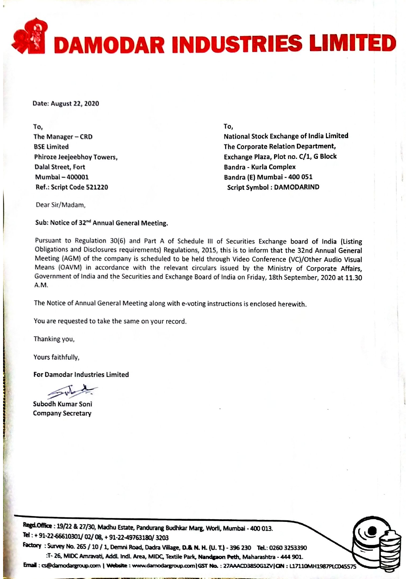

Date: August 22, 2020

To, The Manager  $-$  CRD BSE limited Phiroze Jeejeebhoy Towers, Dalal Street, Fort Mumbai - 400001 Ref.: Script Code 521220

To,

National Stock Exchange of India Limited The Corporate Relation Department, Exchange Plaza, Plot no. C/1, <sup>G</sup> Block Bandra - Kurla Complex Bandra (E) Mumbai - 400 051 Script Symbol : DAMODARIND

Dear Sir/Madam,

Sub: Notice of 32<sup>nd</sup> Annual General Meeting.

Pursuant to Regulation 30(6) and Part <sup>A</sup> of Schedule Ill of Securities Exchange board of India (Listing Obligations and Disclosures requirements) Regulations, 2015, this is to inform that the 32nd Annual General Meeting (AGM) of the company is scheduled to be held through Video Conference (VC)/Other Audio Visual Means (OAVM) in accordance with the relevant circulars issued by the Ministry of Corporate Affairs, Government of India and the Securities and Exchange Board of India on Friday, 18th September, <sup>2020</sup> at 11.30 A.M.

The Notice of Annual General Meeting along with e-voting instructions is enclosed herewith.

You are requested to take the same on your record.

Thanking you,

Yours faithfully,

For Damodar Industries Limited

?

Subodh Kumar Soni Company Secretary

Regd.Office: 19/22 & 27/30, Madhu Estate, Pandurang Budhkar Marg, Worli, Mumbai - 400 013. Tel: + 91-22-66610301/02/08, + 91-22-49763180/3203

----?-- . - -·

Factory : Survey No. 265 / 10 / 1, Demni Road, Dadra Village, D.& N. H. (U. T.) - 396 230 Tel.: 0260 3253390 :T- 26, MIDC Amravati, Addl. Indl. Area, MIDC, Textile Park, Nandgaon Peth, Maharashtra - 444 901.

Email: cs@damodargroup.com | Website: www.damodargroup.com | GST No.: 27AAACD38SOG1ZV | CIN: L17110MH1987PLCD45575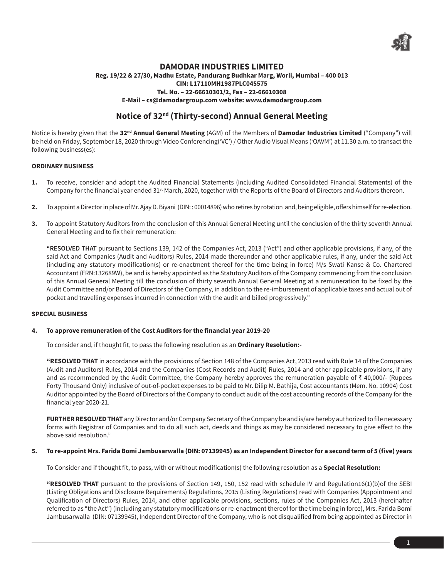

# **DAMODAR INDUSTRIES LIMITED**

## **Reg. 19/22 & 27/30, Madhu Estate, Pandurang Budhkar Marg, Worli, Mumbai – 400 013 CIN: L17110MH1987PLC045575 Tel. No. – 22-66610301/2, Fax – 22-66610308 E-Mail – cs@damodargroup.com website: www.damodargroup.com**

# **Notice of 32nd (Thirty-second) Annual General Meeting**

Notice is hereby given that the **32nd Annual General Meeting** (AGM) of the Members of **Damodar Industries Limited** ("Company") will be held on Friday, September 18, 2020 through Video Conferencing('VC') / Other Audio Visual Means ('OAVM') at 11.30 a.m. to transact the following business(es):

# **ORDINARY BUSINESS**

- **1.** To receive, consider and adopt the Audited Financial Statements (including Audited Consolidated Financial Statements) of the Company for the financial year ended 31<sup>st</sup> March, 2020, together with the Reports of the Board of Directors and Auditors thereon.
- **2.** To appoint a Director in place of Mr. Ajay D. Biyani (DIN: : 00014896) who retires by rotation and, being eligible, offers himself for re-election.
- **3.** To appoint Statutory Auditors from the conclusion of this Annual General Meeting until the conclusion of the thirty seventh Annual General Meeting and to fix their remuneration:

 **"RESOLVED THAT** pursuant to Sections 139, 142 of the Companies Act, 2013 ("Act") and other applicable provisions, if any, of the said Act and Companies (Audit and Auditors) Rules, 2014 made thereunder and other applicable rules, if any, under the said Act (including any statutory modification(s) or re-enactment thereof for the time being in force) M/s Swati Kanse & Co. Chartered Accountant (FRN:132689W), be and is hereby appointed as the Statutory Auditors of the Company commencing from the conclusion of this Annual General Meeting till the conclusion of thirty seventh Annual General Meeting at a remuneration to be fixed by the Audit Committee and/or Board of Directors of the Company, in addition to the re-imbursement of applicable taxes and actual out of pocket and travelling expenses incurred in connection with the audit and billed progressively."

# **SPECIAL BUSINESS**

## **4. To approve remuneration of the Cost Auditors for the financial year 2019-20**

To consider and, if thought fit, to pass the following resolution as an **Ordinary Resolution:-**

**"RESOLVED THAT** in accordance with the provisions of Section 148 of the Companies Act, 2013 read with Rule 14 of the Companies (Audit and Auditors) Rules, 2014 and the Companies (Cost Records and Audit) Rules, 2014 and other applicable provisions, if any and as recommended by the Audit Committee, the Company hereby approves the remuneration payable of  $\bar{z}$  40,000/- (Rupees Forty Thousand Only) inclusive of out-of-pocket expenses to be paid to Mr. Dilip M. Bathija, Cost accountants (Mem. No. 10904) Cost Auditor appointed by the Board of Directors of the Company to conduct audit of the cost accounting records of the Company for the financial year 2020-21.

**FURTHER RESOLVED THAT** any Director and/or Company Secretary of the Company be and is/are hereby authorized to file necessary forms with Registrar of Companies and to do all such act, deeds and things as may be considered necessary to give effect to the above said resolution."

## **5. To re-appoint Mrs. Farida Bomi Jambusarwalla (DIN: 07139945) as an Independent Director for a second term of 5 (five) years**

To Consider and if thought fit, to pass, with or without modification(s) the following resolution as a **Special Resolution:**

**"RESOLVED THAT** pursuant to the provisions of Section 149, 150, 152 read with schedule IV and Regulation16(1)(b)of the SEBI (Listing Obligations and Disclosure Requirements) Regulations, 2015 (Listing Regulations) read with Companies (Appointment and Qualification of Directors) Rules, 2014, and other applicable provisions, sections, rules of the Companies Act, 2013 (hereinafter referred to as "the Act") (including any statutory modifications or re-enactment thereof for the time being in force), Mrs. Farida Bomi Jambusarwalla (DIN: 07139945), Independent Director of the Company, who is not disqualified from being appointed as Director in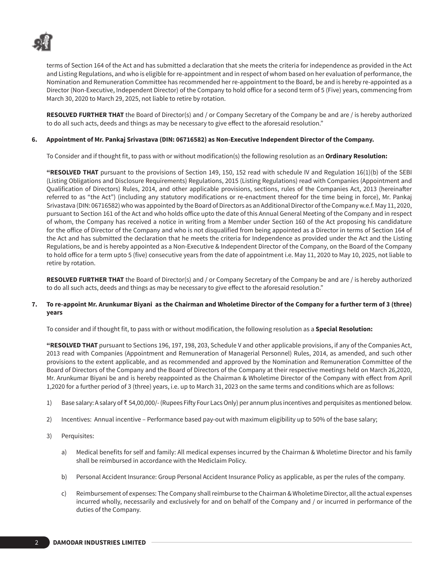

terms of Section 164 of the Act and has submitted a declaration that she meets the criteria for independence as provided in the Act and Listing Regulations, and who is eligible for re-appointment and in respect of whom based on her evaluation of performance, the Nomination and Remuneration Committee has recommended her re-appointment to the Board, be and is hereby re-appointed as a Director (Non-Executive, Independent Director) of the Company to hold office for a second term of 5 (Five) years, commencing from March 30, 2020 to March 29, 2025, not liable to retire by rotation.

**RESOLVED FURTHER THAT** the Board of Director(s) and / or Company Secretary of the Company be and are / is hereby authorized to do all such acts, deeds and things as may be necessary to give effect to the aforesaid resolution."

# **6. Appointment of Mr. Pankaj Srivastava (DIN: 06716582) as Non-Executive Independent Director of the Company.**

To Consider and if thought fit, to pass with or without modification(s) the following resolution as an **Ordinary Resolution:**

**"RESOLVED THAT** pursuant to the provisions of Section 149, 150, 152 read with schedule IV and Regulation 16(1)(b) of the SEBI (Listing Obligations and Disclosure Requirements) Regulations, 2015 (Listing Regulations) read with Companies (Appointment and Qualification of Directors) Rules, 2014, and other applicable provisions, sections, rules of the Companies Act, 2013 (hereinafter referred to as "the Act") (including any statutory modifications or re-enactment thereof for the time being in force), Mr. Pankaj Srivastava (DIN: 06716582) who was appointed by the Board of Directors as an Additional Director of the Company w.e.f. May 11, 2020, pursuant to Section 161 of the Act and who holds office upto the date of this Annual General Meeting of the Company and in respect of whom, the Company has received a notice in writing from a Member under Section 160 of the Act proposing his candidature for the office of Director of the Company and who is not disqualified from being appointed as a Director in terms of Section 164 of the Act and has submitted the declaration that he meets the criteria for Independence as provided under the Act and the Listing Regulations, be and is hereby appointed as a Non-Executive & Independent Director of the Company, on the Board of the Company to hold office for a term upto 5 (five) consecutive years from the date of appointment i.e. May 11, 2020 to May 10, 2025, not liable to retire by rotation.

**RESOLVED FURTHER THAT** the Board of Director(s) and / or Company Secretary of the Company be and are / is hereby authorized to do all such acts, deeds and things as may be necessary to give effect to the aforesaid resolution."

## **7. To re-appoint Mr. Arunkumar Biyani as the Chairman and Wholetime Director of the Company for a further term of 3 (three) years**

To consider and if thought fit, to pass with or without modification, the following resolution as a **Special Resolution:** 

**"RESOLVED THAT** pursuant to Sections 196, 197, 198, 203, Schedule V and other applicable provisions, if any of the Companies Act, 2013 read with Companies (Appointment and Remuneration of Managerial Personnel) Rules, 2014, as amended, and such other provisions to the extent applicable, and as recommended and approved by the Nomination and Remuneration Committee of the Board of Directors of the Company and the Board of Directors of the Company at their respective meetings held on March 26,2020, Mr. Arunkumar Biyani be and is hereby reappointed as the Chairman & Wholetime Director of the Company with effect from April 1,2020 for a further period of 3 (three) years, i.e. up to March 31, 2023 on the same terms and conditions which are as follows:

- 1) Base salary: A salary of ` 54,00,000/- (Rupees Fifty Four Lacs Only) per annum plus incentives and perquisites as mentioned below.
- 2) Incentives: Annual incentive Performance based pay-out with maximum eligibility up to 50% of the base salary;
- 3) Perquisites:
	- a) Medical benefits for self and family: All medical expenses incurred by the Chairman & Wholetime Director and his family shall be reimbursed in accordance with the Mediclaim Policy.
	- b) Personal Accident Insurance: Group Personal Accident Insurance Policy as applicable, as per the rules of the company.
	- c) Reimbursement of expenses: The Company shall reimburse to the Chairman & Wholetime Director, all the actual expenses incurred wholly, necessarily and exclusively for and on behalf of the Company and / or incurred in performance of the duties of the Company.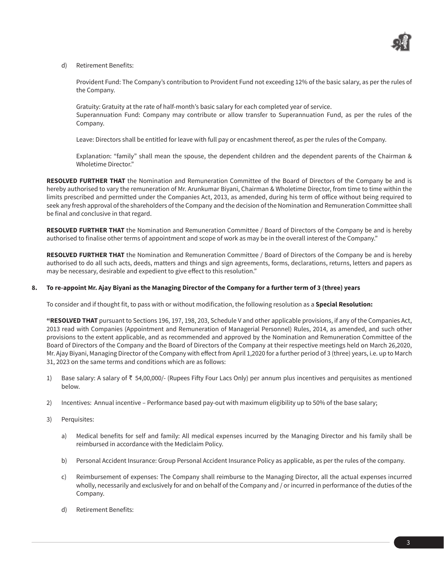

## d) Retirement Benefits:

Provident Fund: The Company's contribution to Provident Fund not exceeding 12% of the basic salary, as per the rules of the Company.

Gratuity: Gratuity at the rate of half-month's basic salary for each completed year of service. Superannuation Fund: Company may contribute or allow transfer to Superannuation Fund, as per the rules of the Company.

Leave: Directors shall be entitled for leave with full pay or encashment thereof, as per the rules of the Company.

Explanation: "family" shall mean the spouse, the dependent children and the dependent parents of the Chairman & Wholetime Director."

**RESOLVED FURTHER THAT** the Nomination and Remuneration Committee of the Board of Directors of the Company be and is hereby authorised to vary the remuneration of Mr. Arunkumar Biyani, Chairman & Wholetime Director, from time to time within the limits prescribed and permitted under the Companies Act, 2013, as amended, during his term of office without being required to seek any fresh approval of the shareholders of the Company and the decision of the Nomination and Remuneration Committee shall be final and conclusive in that regard.

**RESOLVED FURTHER THAT** the Nomination and Remuneration Committee / Board of Directors of the Company be and is hereby authorised to finalise other terms of appointment and scope of work as may be in the overall interest of the Company."

**RESOLVED FURTHER THAT** the Nomination and Remuneration Committee / Board of Directors of the Company be and is hereby authorised to do all such acts, deeds, matters and things and sign agreements, forms, declarations, returns, letters and papers as may be necessary, desirable and expedient to give effect to this resolution."

## **8. To re-appoint Mr. Ajay Biyani as the Managing Director of the Company for a further term of 3 (three) years**

To consider and if thought fit, to pass with or without modification, the following resolution as a **Special Resolution:** 

**"RESOLVED THAT** pursuant to Sections 196, 197, 198, 203, Schedule V and other applicable provisions, if any of the Companies Act, 2013 read with Companies (Appointment and Remuneration of Managerial Personnel) Rules, 2014, as amended, and such other provisions to the extent applicable, and as recommended and approved by the Nomination and Remuneration Committee of the Board of Directors of the Company and the Board of Directors of the Company at their respective meetings held on March 26,2020, Mr. Ajay Biyani, Managing Director of the Company with effect from April 1,2020 for a further period of 3 (three) years, i.e. up to March 31, 2023 on the same terms and conditions which are as follows:

- 1) Base salary: A salary of  $\bar{\tau}$  54,00,000/- (Rupees Fifty Four Lacs Only) per annum plus incentives and perquisites as mentioned below.
- 2) Incentives: Annual incentive Performance based pay-out with maximum eligibility up to 50% of the base salary;
- 3) Perquisites:
	- a) Medical benefits for self and family: All medical expenses incurred by the Managing Director and his family shall be reimbursed in accordance with the Mediclaim Policy.
	- b) Personal Accident Insurance: Group Personal Accident Insurance Policy as applicable, as per the rules of the company.
	- c) Reimbursement of expenses: The Company shall reimburse to the Managing Director, all the actual expenses incurred wholly, necessarily and exclusively for and on behalf of the Company and / or incurred in performance of the duties of the Company.
	- d) Retirement Benefits: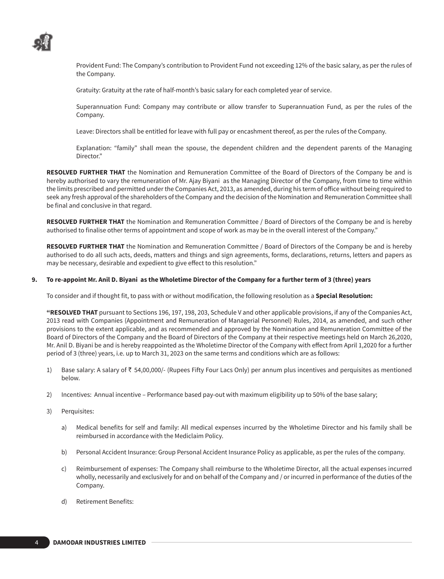

Provident Fund: The Company's contribution to Provident Fund not exceeding 12% of the basic salary, as per the rules of the Company.

Gratuity: Gratuity at the rate of half-month's basic salary for each completed year of service.

Superannuation Fund: Company may contribute or allow transfer to Superannuation Fund, as per the rules of the Company.

Leave: Directors shall be entitled for leave with full pay or encashment thereof, as per the rules of the Company.

Explanation: "family" shall mean the spouse, the dependent children and the dependent parents of the Managing Director."

**RESOLVED FURTHER THAT** the Nomination and Remuneration Committee of the Board of Directors of the Company be and is hereby authorised to vary the remuneration of Mr. Ajay Biyani as the Managing Director of the Company, from time to time within the limits prescribed and permitted under the Companies Act, 2013, as amended, during his term of office without being required to seek any fresh approval of the shareholders of the Company and the decision of the Nomination and Remuneration Committee shall be final and conclusive in that regard.

**RESOLVED FURTHER THAT** the Nomination and Remuneration Committee / Board of Directors of the Company be and is hereby authorised to finalise other terms of appointment and scope of work as may be in the overall interest of the Company."

**RESOLVED FURTHER THAT** the Nomination and Remuneration Committee / Board of Directors of the Company be and is hereby authorised to do all such acts, deeds, matters and things and sign agreements, forms, declarations, returns, letters and papers as may be necessary, desirable and expedient to give effect to this resolution."

#### **9. To re-appoint Mr. Anil D. Biyani as the Wholetime Director of the Company for a further term of 3 (three) years**

To consider and if thought fit, to pass with or without modification, the following resolution as a **Special Resolution:** 

**"RESOLVED THAT** pursuant to Sections 196, 197, 198, 203, Schedule V and other applicable provisions, if any of the Companies Act, 2013 read with Companies (Appointment and Remuneration of Managerial Personnel) Rules, 2014, as amended, and such other provisions to the extent applicable, and as recommended and approved by the Nomination and Remuneration Committee of the Board of Directors of the Company and the Board of Directors of the Company at their respective meetings held on March 26,2020, Mr. Anil D. Biyani be and is hereby reappointed as the Wholetime Director of the Company with effect from April 1,2020 for a further period of 3 (three) years, i.e. up to March 31, 2023 on the same terms and conditions which are as follows:

- 1) Base salary: A salary of  $\bar{\tau}$  54,00,000/- (Rupees Fifty Four Lacs Only) per annum plus incentives and perquisites as mentioned below.
- 2) Incentives: Annual incentive Performance based pay-out with maximum eligibility up to 50% of the base salary;
- 3) Perquisites:
	- a) Medical benefits for self and family: All medical expenses incurred by the Wholetime Director and his family shall be reimbursed in accordance with the Mediclaim Policy.
	- b) Personal Accident Insurance: Group Personal Accident Insurance Policy as applicable, as per the rules of the company.
	- c) Reimbursement of expenses: The Company shall reimburse to the Wholetime Director, all the actual expenses incurred wholly, necessarily and exclusively for and on behalf of the Company and / or incurred in performance of the duties of the Company.
	- d) Retirement Benefits: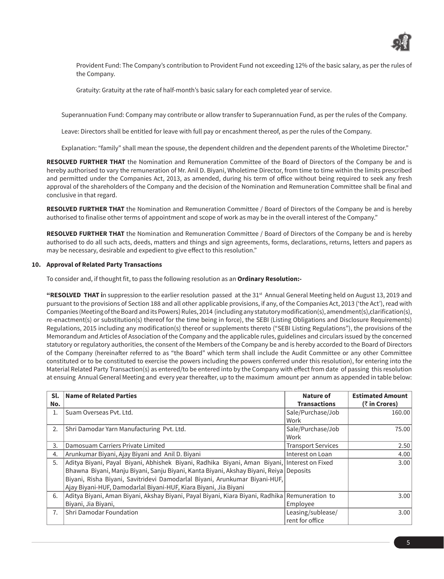

Provident Fund: The Company's contribution to Provident Fund not exceeding 12% of the basic salary, as per the rules of the Company.

Gratuity: Gratuity at the rate of half-month's basic salary for each completed year of service.

Superannuation Fund: Company may contribute or allow transfer to Superannuation Fund, as per the rules of the Company.

Leave: Directors shall be entitled for leave with full pay or encashment thereof, as per the rules of the Company.

Explanation: "family" shall mean the spouse, the dependent children and the dependent parents of the Wholetime Director."

**RESOLVED FURTHER THAT** the Nomination and Remuneration Committee of the Board of Directors of the Company be and is hereby authorised to vary the remuneration of Mr. Anil D. Biyani, Wholetime Director, from time to time within the limits prescribed and permitted under the Companies Act, 2013, as amended, during his term of office without being required to seek any fresh approval of the shareholders of the Company and the decision of the Nomination and Remuneration Committee shall be final and conclusive in that regard.

**RESOLVED FURTHER THAT** the Nomination and Remuneration Committee / Board of Directors of the Company be and is hereby authorised to finalise other terms of appointment and scope of work as may be in the overall interest of the Company."

**RESOLVED FURTHER THAT** the Nomination and Remuneration Committee / Board of Directors of the Company be and is hereby authorised to do all such acts, deeds, matters and things and sign agreements, forms, declarations, returns, letters and papers as may be necessary, desirable and expedient to give effect to this resolution."

#### **10. Approval of Related Party Transactions**

To consider and, if thought fit, to pass the following resolution as an **Ordinary Resolution:-**

**"RESOLVED THAT in** suppression to the earlier resolution passed at the 31<sup>st</sup> Annual General Meeting held on August 13, 2019 and pursuant to the provisions of Section 188 and all other applicable provisions, if any, of the Companies Act, 2013 ('the Act'), read with Companies (Meeting of the Board and its Powers) Rules, 2014 (including any statutory modification(s), amendment(s),clarification(s), re-enactment(s) or substitution(s) thereof for the time being in force), the SEBI (Listing Obligations and Disclosure Requirements) Regulations, 2015 including any modification(s) thereof or supplements thereto ("SEBI Listing Regulations"), the provisions of the Memorandum and Articles of Association of the Company and the applicable rules, guidelines and circulars issued by the concerned statutory or regulatory authorities, the consent of the Members of the Company be and is hereby accorded to the Board of Directors of the Company (hereinafter referred to as "the Board" which term shall include the Audit Committee or any other Committee constituted or to be constituted to exercise the powers including the powers conferred under this resolution), for entering into the Material Related Party Transaction(s) as entered/to be entered into by the Company with effect from date of passing this resolution at ensuing Annual General Meeting and every year thereafter, up to the maximum amount per annum as appended in table below:

| Sl.<br>No.     | Name of Related Parties                                                                        | Nature of<br><b>Transactions</b> | <b>Estimated Amount</b><br>$($ ₹ in Crores) |
|----------------|------------------------------------------------------------------------------------------------|----------------------------------|---------------------------------------------|
| 1.             | Suam Overseas Pvt. Ltd.                                                                        | Sale/Purchase/Job                | 160.00                                      |
|                |                                                                                                | Work                             |                                             |
| 2.             | Shri Damodar Yarn Manufacturing Pvt. Ltd.                                                      | Sale/Purchase/Job                | 75.00                                       |
|                |                                                                                                | Work                             |                                             |
| 3.             | Damosuam Carriers Private Limited                                                              | <b>Transport Services</b>        | 2.50                                        |
| 4.             | Arunkumar Biyani, Ajay Biyani and Anil D. Biyani                                               | Interest on Loan                 | 4.00                                        |
| 5.             | Aditya Biyani, Payal Biyani, Abhishek Biyani, Radhika Biyani, Aman Biyani, Interest on Fixed   |                                  | 3.00                                        |
|                | Bhawna Biyani, Manju Biyani, Sanju Biyani, Kanta Biyani, Akshay Biyani, Reiya Deposits         |                                  |                                             |
|                | Biyani, Risha Biyani, Savitridevi Damodarlal Biyani, Arunkumar Biyani-HUF,                     |                                  |                                             |
|                | Ajay Biyani-HUF, Damodarlal Biyani-HUF, Kiara Biyani, Jia Biyani                               |                                  |                                             |
| 6.             | Aditya Biyani, Aman Biyani, Akshay Biyani, Payal Biyani, Kiara Biyani, Radhika Remuneration to |                                  | 3.00                                        |
|                | Biyani, Jia Biyani,                                                                            | Employee                         |                                             |
| 7 <sub>1</sub> | Shri Damodar Foundation                                                                        | Leasing/sublease/                | 3.00                                        |
|                |                                                                                                | rent for office                  |                                             |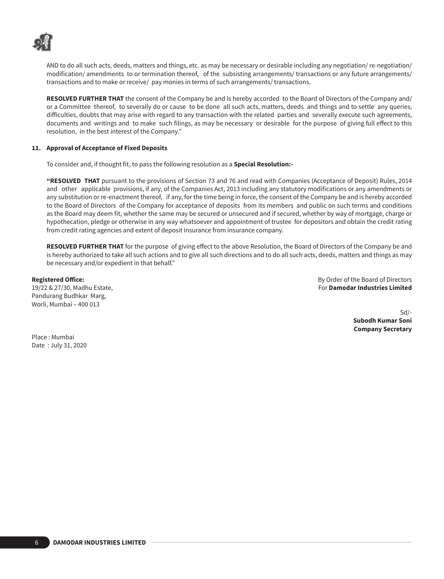

AND to do all such acts, deeds, matters and things, etc. as may be necessary or desirable including any negotiation/ re-negotiation/ modification/ amendments to or termination thereof, of the subsisting arrangements/ transactions or any future arrangements/ transactions and to make or receive/ pay monies in terms of such arrangements/ transactions.

**RESOLVED FURTHER THAT** the consent of the Company be and is hereby accorded to the Board of Directors of the Company and/ or a Committee thereof, to severally do or cause to be done all such acts, matters, deeds and things and to settle any queries, difficulties, doubts that may arise with regard to any transaction with the related parties and severally execute such agreements, documents and writings and to make such filings, as may be necessary or desirable for the purpose of giving full effect to this resolution, in the best interest of the Company."

### **11. Approval of Acceptance of Fixed Deposits**

To consider and, if thought fit, to pass the following resolution as a **Special Resolution:-**

**"RESOLVED THAT** pursuant to the provisions of Section 73 and 76 and read with Companies (Acceptance of Deposit) Rules, 2014 and other applicable provisions, if any, of the Companies Act, 2013 including any statutory modifications or any amendments or any substitution or re-enactment thereof, if any, for the time being in force, the consent of the Company be and is hereby accorded to the Board of Directors of the Company for acceptance of deposits from its members and public on such terms and conditions as the Board may deem fit, whether the same may be secured or unsecured and if secured, whether by way of mortgage, charge or hypothecation, pledge or otherwise in any way whatsoever and appointment of trustee for depositors and obtain the credit rating from credit rating agencies and extent of deposit insurance from insurance company.

**RESOLVED FURTHER THAT** for the purpose of giving effect to the above Resolution, the Board of Directors of the Company be and is hereby authorized to take all such actions and to give all such directions and to do all such acts, deeds, matters and things as may be necessary and/or expedient in that behalf."

Pandurang Budhkar Marg, Worli, Mumbai – 400 013

**Registered Office: By Order of the Board of Directors** 19/22 & 27/30, Madhu Estate, For **Damodar Industries Limited**

> Sd/- **Subodh Kumar Soni Company Secretary**

Place : Mumbai Date : July 31, 2020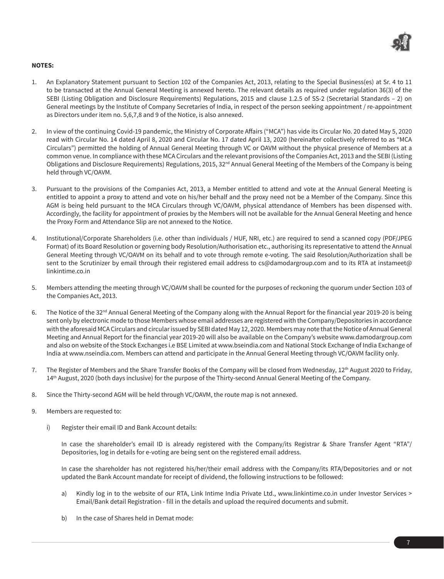

# **NOTES:**

- 1. An Explanatory Statement pursuant to Section 102 of the Companies Act, 2013, relating to the Special Business(es) at Sr. 4 to 11 to be transacted at the Annual General Meeting is annexed hereto. The relevant details as required under regulation 36(3) of the SEBI (Listing Obligation and Disclosure Requirements) Regulations, 2015 and clause 1.2.5 of SS-2 (Secretarial Standards – 2) on General meetings by the Institute of Company Secretaries of India, in respect of the person seeking appointment / re-appointment as Directors under item no. 5,6,7,8 and 9 of the Notice, is also annexed.
- 2. In view of the continuing Covid-19 pandemic, the Ministry of Corporate Affairs ("MCA") has vide its Circular No. 20 dated May 5, 2020 read with Circular No. 14 dated April 8, 2020 and Circular No. 17 dated April 13, 2020 (hereinafter collectively referred to as "MCA Circulars") permitted the holding of Annual General Meeting through VC or OAVM without the physical presence of Members at a common venue. In compliance with these MCA Circulars and the relevant provisions of the Companies Act, 2013 and the SEBI (Listing Obligations and Disclosure Requirements) Regulations, 2015, 32<sup>nd</sup> Annual General Meeting of the Members of the Company is being held through VC/OAVM.
- 3. Pursuant to the provisions of the Companies Act, 2013, a Member entitled to attend and vote at the Annual General Meeting is entitled to appoint a proxy to attend and vote on his/her behalf and the proxy need not be a Member of the Company. Since this AGM is being held pursuant to the MCA Circulars through VC/OAVM, physical attendance of Members has been dispensed with. Accordingly, the facility for appointment of proxies by the Members will not be available for the Annual General Meeting and hence the Proxy Form and Attendance Slip are not annexed to the Notice.
- 4. Institutional/Corporate Shareholders (i.e. other than individuals / HUF, NRI, etc.) are required to send a scanned copy (PDF/JPEG Format) of its Board Resolution or governing body Resolution/Authorisation etc., authorising its representative to attend the Annual General Meeting through VC/OAVM on its behalf and to vote through remote e-voting. The said Resolution/Authorization shall be sent to the Scrutinizer by email through their registered email address to cs@damodargroup.com and to its RTA at instameet@ linkintime.co.in
- 5. Members attending the meeting through VC/OAVM shall be counted for the purposes of reckoning the quorum under Section 103 of the Companies Act, 2013.
- 6. The Notice of the 32<sup>nd</sup> Annual General Meeting of the Company along with the Annual Report for the financial year 2019-20 is being sent only by electronic mode to those Members whose email addresses are registered with the Company/Depositories in accordance with the aforesaid MCA Circulars and circular issued by SEBI dated May 12, 2020. Members may note that the Notice of Annual General Meeting and Annual Report for the financial year 2019-20 will also be available on the Company's website www.damodargroup.com and also on website of the Stock Exchanges i.e BSE Limited at www.bseindia.com and National Stock Exchange of India Exchange of India at www.nseindia.com. Members can attend and participate in the Annual General Meeting through VC/OAVM facility only.
- 7. The Register of Members and the Share Transfer Books of the Company will be closed from Wednesday, 12<sup>th</sup> August 2020 to Friday, 14th August, 2020 (both days inclusive) for the purpose of the Thirty-second Annual General Meeting of the Company.
- 8. Since the Thirty-second AGM will be held through VC/OAVM, the route map is not annexed.
- 9. Members are requested to:
	- i) Register their email ID and Bank Account details:

In case the shareholder's email ID is already registered with the Company/its Registrar & Share Transfer Agent "RTA"/ Depositories, log in details for e-voting are being sent on the registered email address.

In case the shareholder has not registered his/her/their email address with the Company/its RTA/Depositories and or not updated the Bank Account mandate for receipt of dividend, the following instructions to be followed:

- a) Kindly log in to the website of our RTA, Link Intime India Private Ltd., www.linkintime.co.in under Investor Services > Email/Bank detail Registration - fill in the details and upload the required documents and submit.
- b) In the case of Shares held in Demat mode: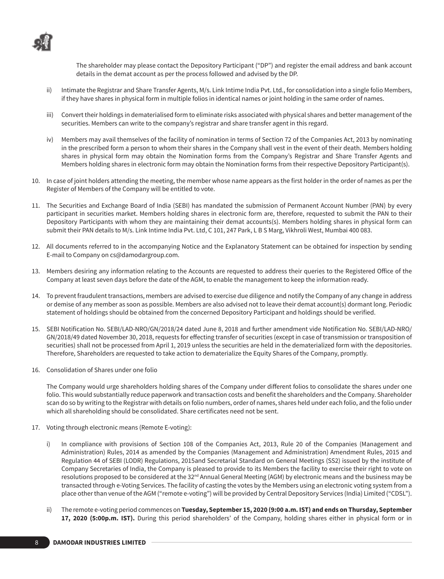

The shareholder may please contact the Depository Participant ("DP") and register the email address and bank account details in the demat account as per the process followed and advised by the DP.

- ii) Intimate the Registrar and Share Transfer Agents, M/s. Link Intime India Pvt. Ltd., for consolidation into a single folio Members, if they have shares in physical form in multiple folios in identical names or joint holding in the same order of names.
- iii) Convert their holdings in dematerialised form to eliminate risks associated with physical shares and better management of the securities. Members can write to the company's registrar and share transfer agent in this regard.
- iv) Members may avail themselves of the facility of nomination in terms of Section 72 of the Companies Act, 2013 by nominating in the prescribed form a person to whom their shares in the Company shall vest in the event of their death. Members holding shares in physical form may obtain the Nomination forms from the Company's Registrar and Share Transfer Agents and Members holding shares in electronic form may obtain the Nomination forms from their respective Depository Participant(s).
- 10. In case of joint holders attending the meeting, the member whose name appears as the first holder in the order of names as per the Register of Members of the Company will be entitled to vote.
- 11. The Securities and Exchange Board of India (SEBI) has mandated the submission of Permanent Account Number (PAN) by every participant in securities market. Members holding shares in electronic form are, therefore, requested to submit the PAN to their Depository Participants with whom they are maintaining their demat accounts(s). Members holding shares in physical form can submit their PAN details to M/s. Link Intime India Pvt. Ltd, C 101, 247 Park, L B S Marg, Vikhroli West, Mumbai 400 083.
- 12. All documents referred to in the accompanying Notice and the Explanatory Statement can be obtained for inspection by sending E-mail to Company on cs@damodargroup.com.
- 13. Members desiring any information relating to the Accounts are requested to address their queries to the Registered Office of the Company at least seven days before the date of the AGM, to enable the management to keep the information ready.
- 14. To prevent fraudulent transactions, members are advised to exercise due diligence and notify the Company of any change in address or demise of any member as soon as possible. Members are also advised not to leave their demat account(s) dormant long. Periodic statement of holdings should be obtained from the concerned Depository Participant and holdings should be verified.
- 15. SEBI Notification No. SEBI/LAD-NRO/GN/2018/24 dated June 8, 2018 and further amendment vide Notification No. SEBI/LAD-NRO/ GN/2018/49 dated November 30, 2018, requests for effecting transfer of securities (except in case of transmission or transposition of securities) shall not be processed from April 1, 2019 unless the securities are held in the dematerialized form with the depositories. Therefore, Shareholders are requested to take action to dematerialize the Equity Shares of the Company, promptly.
- 16. Consolidation of Shares under one folio

The Company would urge shareholders holding shares of the Company under different folios to consolidate the shares under one folio. This would substantially reduce paperwork and transaction costs and benefit the shareholders and the Company. Shareholder scan do so by writing to the Registrar with details on folio numbers, order of names, shares held under each folio, and the folio under which all shareholding should be consolidated. Share certificates need not be sent.

- 17. Voting through electronic means (Remote E-voting):
	- i) In compliance with provisions of Section 108 of the Companies Act, 2013, Rule 20 of the Companies (Management and Administration) Rules, 2014 as amended by the Companies (Management and Administration) Amendment Rules, 2015 and Regulation 44 of SEBI (LODR) Regulations, 2015and Secretarial Standard on General Meetings (SS2) issued by the institute of Company Secretaries of India, the Company is pleased to provide to its Members the facility to exercise their right to vote on resolutions proposed to be considered at the 32<sup>nd</sup> Annual General Meeting (AGM) by electronic means and the business may be transacted through e-Voting Services. The facility of casting the votes by the Members using an electronic voting system from a place other than venue of the AGM ("remote e-voting") will be provided by Central Depository Services (India) Limited ("CDSL").
	- ii) The remote e-voting period commences on **Tuesday, September 15, 2020 (9:00 a.m. IST) and ends on Thursday, September 17, 2020 (5:00p.m. IST).** During this period shareholders' of the Company, holding shares either in physical form or in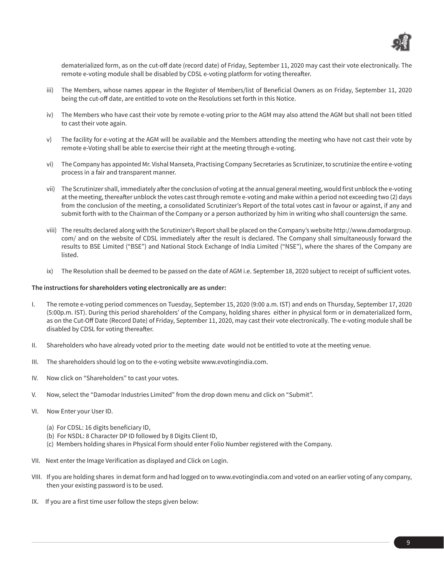

dematerialized form, as on the cut-off date (record date) of Friday, September 11, 2020 may cast their vote electronically. The remote e-voting module shall be disabled by CDSL e-voting platform for voting thereafter.

- iii) The Members, whose names appear in the Register of Members/list of Beneficial Owners as on Friday, September 11, 2020 being the cut-off date, are entitled to vote on the Resolutions set forth in this Notice.
- iv) The Members who have cast their vote by remote e-voting prior to the AGM may also attend the AGM but shall not been titled to cast their vote again.
- v) The facility for e-voting at the AGM will be available and the Members attending the meeting who have not cast their vote by remote e-Voting shall be able to exercise their right at the meeting through e-voting.
- vi) The Company has appointed Mr. Vishal Manseta, Practising Company Secretaries as Scrutinizer, to scrutinize the entire e-voting process in a fair and transparent manner.
- vii) The Scrutinizer shall, immediately after the conclusion of voting at the annual general meeting, would first unblock the e-voting at the meeting, thereafter unblock the votes cast through remote e-voting and make within a period not exceeding two (2) days from the conclusion of the meeting, a consolidated Scrutinizer's Report of the total votes cast in favour or against, if any and submit forth with to the Chairman of the Company or a person authorized by him in writing who shall countersign the same.
- viii) The results declared along with the Scrutinizer's Report shall be placed on the Company's website http://www.damodargroup. com/ and on the website of CDSL immediately after the result is declared. The Company shall simultaneously forward the results to BSE Limited ("BSE") and National Stock Exchange of India Limited ("NSE"), where the shares of the Company are listed.
- ix) The Resolution shall be deemed to be passed on the date of AGM i.e. September 18, 2020 subject to receipt of sufficient votes.

# **The instructions for shareholders voting electronically are as under:**

- I. The remote e-voting period commences on Tuesday, September 15, 2020 (9:00 a.m. IST) and ends on Thursday, September 17, 2020 (5:00p.m. IST). During this period shareholders' of the Company, holding shares either in physical form or in dematerialized form, as on the Cut-Off Date (Record Date) of Friday, September 11, 2020, may cast their vote electronically. The e-voting module shall be disabled by CDSL for voting thereafter.
- II. Shareholders who have already voted prior to the meeting date would not be entitled to vote at the meeting venue.
- III. The shareholders should log on to the e-voting website www.evotingindia.com.
- IV. Now click on "Shareholders" to cast your votes.
- V. Now, select the "Damodar Industries Limited" from the drop down menu and click on "Submit".
- VI. Now Enter your User ID.
	- (a) For CDSL: 16 digits beneficiary ID,
	- (b) For NSDL: 8 Character DP ID followed by 8 Digits Client ID,
	- (c) Members holding shares in Physical Form should enter Folio Number registered with the Company.
- VII. Next enter the Image Verification as displayed and Click on Login.
- VIII. If you are holding shares in demat form and had logged on to www.evotingindia.com and voted on an earlier voting of any company, then your existing password is to be used.
- IX. If you are a first time user follow the steps given below: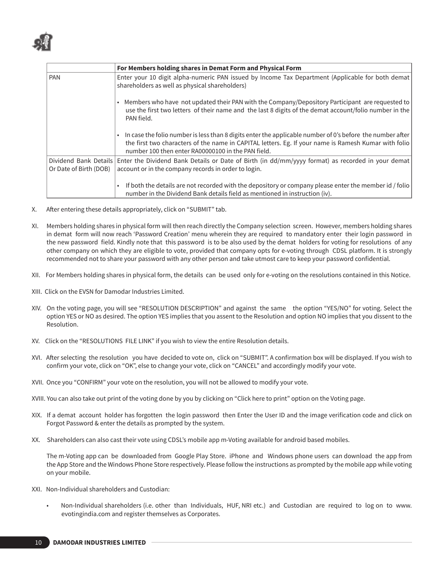

|                                                 | For Members holding shares in Demat Form and Physical Form                                                                                                                                                                                                              |
|-------------------------------------------------|-------------------------------------------------------------------------------------------------------------------------------------------------------------------------------------------------------------------------------------------------------------------------|
| <b>PAN</b>                                      | Enter your 10 digit alpha-numeric PAN issued by Income Tax Department (Applicable for both demat<br>shareholders as well as physical shareholders)                                                                                                                      |
|                                                 | Members who have not updated their PAN with the Company/Depository Participant are requested to<br>$\bullet$<br>use the first two letters of their name and the last 8 digits of the demat account/folio number in the<br>PAN field.                                    |
|                                                 | In case the folio number is less than 8 digits enter the applicable number of 0's before the number after<br>the first two characters of the name in CAPITAL letters. Eg. If your name is Ramesh Kumar with folio<br>number 100 then enter RA00000100 in the PAN field. |
| Dividend Bank Details<br>Or Date of Birth (DOB) | Enter the Dividend Bank Details or Date of Birth (in dd/mm/yyyy format) as recorded in your demat<br>account or in the company records in order to login.                                                                                                               |
|                                                 | If both the details are not recorded with the depository or company please enter the member id / folio<br>$\bullet$<br>number in the Dividend Bank details field as mentioned in instruction (iv).                                                                      |

- X. After entering these details appropriately, click on "SUBMIT" tab.
- XI. Members holding shares in physical form will then reach directly the Company selection screen. However, members holding shares in demat form will now reach 'Password Creation' menu wherein they are required to mandatory enter their login password in the new password field. Kindly note that this password is to be also used by the demat holders for voting for resolutions of any other company on which they are eligible to vote, provided that company opts for e-voting through CDSL platform. It is strongly recommended not to share your password with any other person and take utmost care to keep your password confidential.
- XII. For Members holding shares in physical form, the details can be used only for e-voting on the resolutions contained in this Notice.
- XIII. Click on the EVSN for Damodar Industries Limited.
- XIV. On the voting page, you will see "RESOLUTION DESCRIPTION" and against the same the option "YES/NO" for voting. Select the option YES or NO as desired. The option YES implies that you assent to the Resolution and option NO implies that you dissent to the Resolution.
- XV. Click on the "RESOLUTIONS FILE LINK" if you wish to view the entire Resolution details.
- XVI. After selecting the resolution you have decided to vote on, click on "SUBMIT". A confirmation box will be displayed. If you wish to confirm your vote, click on "OK", else to change your vote, click on "CANCEL" and accordingly modify your vote.
- XVII. Once you "CONFIRM" your vote on the resolution, you will not be allowed to modify your vote.
- XVIII. You can also take out print of the voting done by you by clicking on "Click here to print" option on the Voting page.
- XIX. If a demat account holder has forgotten the login password then Enter the User ID and the image verification code and click on Forgot Password & enter the details as prompted by the system.
- XX. Shareholders can also cast their vote using CDSL's mobile app m-Voting available for android based mobiles.

The m-Voting app can be downloaded from Google Play Store. iPhone and Windows phone users can download the app from the App Store and the Windows Phone Store respectively. Please follow the instructions as prompted by the mobile app while voting on your mobile.

- XXI. Non-Individual shareholders and Custodian:
	- Non-Individual shareholders (i.e. other than Individuals, HUF, NRI etc.) and Custodian are required to log on to www. evotingindia.com and register themselves as Corporates.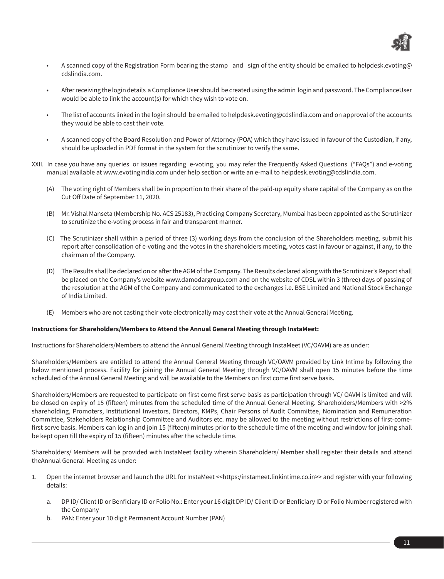

- A scanned copy of the Registration Form bearing the stamp and sign of the entity should be emailed to helpdesk.evoting@ cdslindia.com.
- After receiving the login details a Compliance User should be created using the admin login and password. The ComplianceUser would be able to link the account(s) for which they wish to vote on.
- The list of accounts linked in the login should be emailed to helpdesk.evoting@cdslindia.com and on approval of the accounts they would be able to cast their vote.
- A scanned copy of the Board Resolution and Power of Attorney (POA) which they have issued in favour of the Custodian, if any, should be uploaded in PDF format in the system for the scrutinizer to verify the same.
- XXII. In case you have any queries or issues regarding e-voting, you may refer the Frequently Asked Questions ("FAQs") and e-voting manual available at www.evotingindia.com under help section or write an e-mail to helpdesk.evoting@cdslindia.com.
	- (A) The voting right of Members shall be in proportion to their share of the paid-up equity share capital of the Company as on the Cut Off Date of September 11, 2020.
	- (B) Mr. Vishal Manseta (Membership No. ACS 25183), Practicing Company Secretary, Mumbai has been appointed as the Scrutinizer to scrutinize the e-voting process in fair and transparent manner.
	- (C) The Scrutinizer shall within a period of three (3) working days from the conclusion of the Shareholders meeting, submit his report after consolidation of e-voting and the votes in the shareholders meeting, votes cast in favour or against, if any, to the chairman of the Company.
	- (D) The Results shall be declared on or after the AGM of the Company. The Results declared along with the Scrutinizer's Report shall be placed on the Company's website www.damodargroup.com and on the website of CDSL within 3 (three) days of passing of the resolution at the AGM of the Company and communicated to the exchanges i.e. BSE Limited and National Stock Exchange of India Limited.
	- (E) Members who are not casting their vote electronically may cast their vote at the Annual General Meeting.

## **Instructions for Shareholders/Members to Attend the Annual General Meeting through InstaMeet:**

Instructions for Shareholders/Members to attend the Annual General Meeting through InstaMeet (VC/OAVM) are as under:

Shareholders/Members are entitled to attend the Annual General Meeting through VC/OAVM provided by Link Intime by following the below mentioned process. Facility for joining the Annual General Meeting through VC/OAVM shall open 15 minutes before the time scheduled of the Annual General Meeting and will be available to the Members on first come first serve basis.

Shareholders/Members are requested to participate on first come first serve basis as participation through VC/ OAVM is limited and will be closed on expiry of 15 (fifteen) minutes from the scheduled time of the Annual General Meeting. Shareholders/Members with >2% shareholding, Promoters, Institutional Investors, Directors, KMPs, Chair Persons of Audit Committee, Nomination and Remuneration Committee, Stakeholders Relationship Committee and Auditors etc. may be allowed to the meeting without restrictions of first-comefirst serve basis. Members can log in and join 15 (fifteen) minutes prior to the schedule time of the meeting and window for joining shall be kept open till the expiry of 15 (fifteen) minutes after the schedule time.

Shareholders/ Members will be provided with InstaMeet facility wherein Shareholders/ Member shall register their details and attend theAnnual General Meeting as under:

- 1. Open the internet browser and launch the URL for InstaMeet <<https:/instameet.linkintime.co.in>> and register with your following details:
	- a. DP ID/ Client ID or Benficiary ID or Folio No.: Enter your 16 digit DP ID/ Client ID or Benficiary ID or Folio Number registered with the Company
	- b. PAN: Enter your 10 digit Permanent Account Number (PAN)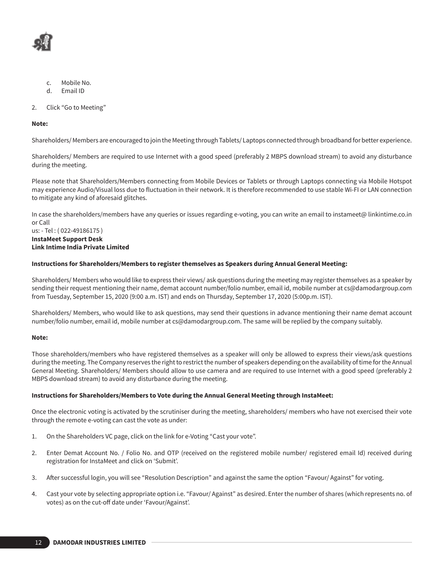

- c. Mobile No.
- d. Email ID
- 2. Click "Go to Meeting"

## **Note:**

Shareholders/ Members are encouraged to join the Meeting through Tablets/ Laptops connected through broadband for better experience.

Shareholders/ Members are required to use Internet with a good speed (preferably 2 MBPS download stream) to avoid any disturbance during the meeting.

Please note that Shareholders/Members connecting from Mobile Devices or Tablets or through Laptops connecting via Mobile Hotspot may experience Audio/Visual loss due to fluctuation in their network. It is therefore recommended to use stable Wi-FI or LAN connection to mitigate any kind of aforesaid glitches.

In case the shareholders/members have any queries or issues regarding e-voting, you can write an email to instameet@ linkintime.co.in or Call

#### us: - Tel : ( 022-49186175 ) **InstaMeet Support Desk Link Intime India Private Limited**

## **Instructions for Shareholders/Members to register themselves as Speakers during Annual General Meeting:**

Shareholders/ Members who would like to express their views/ ask questions during the meeting may register themselves as a speaker by sending their request mentioning their name, demat account number/folio number, email id, mobile number at cs@damodargroup.com from Tuesday, September 15, 2020 (9:00 a.m. IST) and ends on Thursday, September 17, 2020 (5:00p.m. IST).

Shareholders/ Members, who would like to ask questions, may send their questions in advance mentioning their name demat account number/folio number, email id, mobile number at cs@damodargroup.com. The same will be replied by the company suitably.

## **Note:**

Those shareholders/members who have registered themselves as a speaker will only be allowed to express their views/ask questions during the meeting. The Company reserves the right to restrict the number of speakers depending on the availability of time for the Annual General Meeting. Shareholders/ Members should allow to use camera and are required to use Internet with a good speed (preferably 2 MBPS download stream) to avoid any disturbance during the meeting.

## **Instructions for Shareholders/Members to Vote during the Annual General Meeting through InstaMeet:**

Once the electronic voting is activated by the scrutiniser during the meeting, shareholders/ members who have not exercised their vote through the remote e-voting can cast the vote as under:

- 1. On the Shareholders VC page, click on the link for e-Voting "Cast your vote".
- 2. Enter Demat Account No. / Folio No. and OTP (received on the registered mobile number/ registered email Id) received during registration for InstaMeet and click on 'Submit'.
- 3. After successful login, you will see "Resolution Description" and against the same the option "Favour/ Against" for voting.
- 4. Cast your vote by selecting appropriate option i.e. "Favour/ Against" as desired. Enter the number of shares (which represents no. of votes) as on the cut-off date under 'Favour/Against'.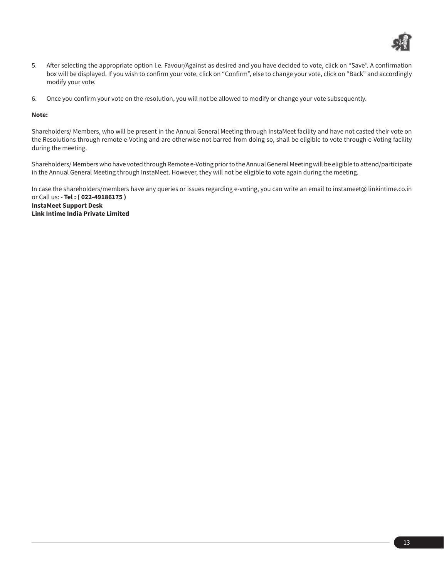

- 5. After selecting the appropriate option i.e. Favour/Against as desired and you have decided to vote, click on "Save". A confirmation box will be displayed. If you wish to confirm your vote, click on "Confirm", else to change your vote, click on "Back" and accordingly modify your vote.
- 6. Once you confirm your vote on the resolution, you will not be allowed to modify or change your vote subsequently.

## **Note:**

Shareholders/ Members, who will be present in the Annual General Meeting through InstaMeet facility and have not casted their vote on the Resolutions through remote e-Voting and are otherwise not barred from doing so, shall be eligible to vote through e-Voting facility during the meeting.

Shareholders/ Members who have voted through Remote e-Voting prior to the Annual General Meeting will be eligible to attend/participate in the Annual General Meeting through InstaMeet. However, they will not be eligible to vote again during the meeting.

In case the shareholders/members have any queries or issues regarding e-voting, you can write an email to instameet@ linkintime.co.in or Call us: - **Tel : ( 022-49186175 ) InstaMeet Support Desk Link Intime India Private Limited**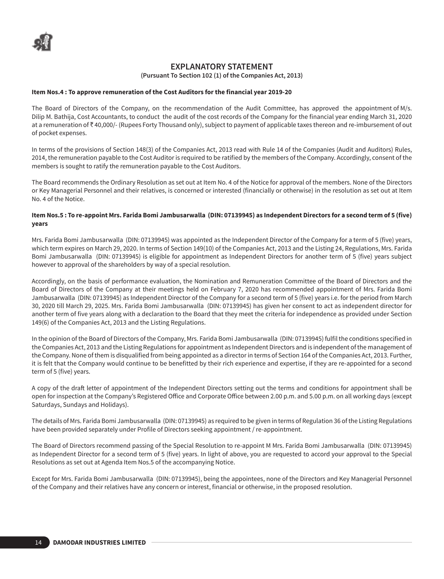# **EXPLANATORY STATEMENT**

**(Pursuant To Section 102 (1) of the Companies Act, 2013)**

## **Item Nos.4 : To approve remuneration of the Cost Auditors for the financial year 2019-20**

The Board of Directors of the Company, on the recommendation of the Audit Committee, has approved the appointment of M/s. Dilip M. Bathija, Cost Accountants, to conduct the audit of the cost records of the Company for the financial year ending March 31, 2020 at a remuneration of  $\bar{\tau}$  40,000/- (Rupees Forty Thousand only), subject to payment of applicable taxes thereon and re-imbursement of out of pocket expenses.

In terms of the provisions of Section 148(3) of the Companies Act, 2013 read with Rule 14 of the Companies (Audit and Auditors) Rules, 2014, the remuneration payable to the Cost Auditor is required to be ratified by the members of the Company. Accordingly, consent of the members is sought to ratify the remuneration payable to the Cost Auditors.

The Board recommends the Ordinary Resolution as set out at Item No. 4 of the Notice for approval of the members. None of the Directors or Key Managerial Personnel and their relatives, is concerned or interested (financially or otherwise) in the resolution as set out at Item No. 4 of the Notice.

## **Item Nos.5 : To re-appoint Mrs. Farida Bomi Jambusarwalla (DIN: 07139945) as Independent Directors for a second term of 5 (five) years**

Mrs. Farida Bomi Jambusarwalla (DIN: 07139945) was appointed as the Independent Director of the Company for a term of 5 (five) years, which term expires on March 29, 2020. In terms of Section 149(10) of the Companies Act, 2013 and the Listing 24, Regulations, Mrs. Farida Bomi Jambusarwalla (DIN: 07139945) is eligible for appointment as Independent Directors for another term of 5 (five) years subject however to approval of the shareholders by way of a special resolution.

Accordingly, on the basis of performance evaluation, the Nomination and Remuneration Committee of the Board of Directors and the Board of Directors of the Company at their meetings held on February 7, 2020 has recommended appointment of Mrs. Farida Bomi Jambusarwalla (DIN: 07139945) as Independent Director of the Company for a second term of 5 (five) years i.e. for the period from March 30, 2020 till March 29, 2025. Mrs. Farida Bomi Jambusarwalla (DIN: 07139945) has given her consent to act as independent director for another term of five years along with a declaration to the Board that they meet the criteria for independence as provided under Section 149(6) of the Companies Act, 2013 and the Listing Regulations.

In the opinion of the Board of Directors of the Company, Mrs. Farida Bomi Jambusarwalla (DIN: 07139945) fulfil the conditions specified in the Companies Act, 2013 and the Listing Regulations for appointment as Independent Directors and is independent of the management of the Company. None of them is disqualified from being appointed as a director in terms of Section 164 of the Companies Act, 2013. Further, it is felt that the Company would continue to be benefitted by their rich experience and expertise, if they are re-appointed for a second term of 5 (five) years.

A copy of the draft letter of appointment of the Independent Directors setting out the terms and conditions for appointment shall be open for inspection at the Company's Registered Office and Corporate Office between 2.00 p.m. and 5.00 p.m. on all working days (except Saturdays, Sundays and Holidays).

The details of Mrs. Farida Bomi Jambusarwalla (DIN: 07139945) as required to be given in terms of Regulation 36 of the Listing Regulations have been provided separately under Profile of Directors seeking appointment / re-appointment.

The Board of Directors recommend passing of the Special Resolution to re-appoint M Mrs. Farida Bomi Jambusarwalla (DIN: 07139945) as Independent Director for a second term of 5 (five) years. In light of above, you are requested to accord your approval to the Special Resolutions as set out at Agenda Item Nos.5 of the accompanying Notice.

Except for Mrs. Farida Bomi Jambusarwalla (DIN: 07139945), being the appointees, none of the Directors and Key Managerial Personnel of the Company and their relatives have any concern or interest, financial or otherwise, in the proposed resolution.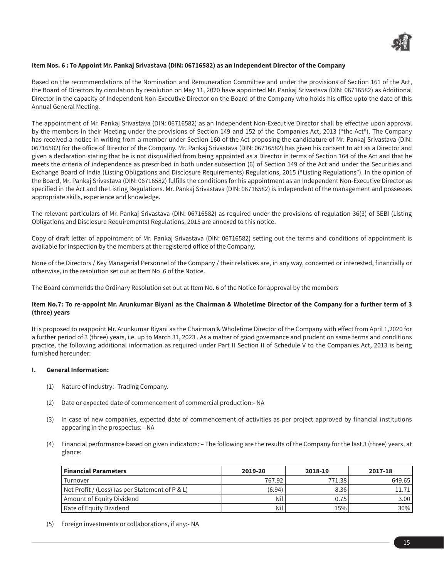

## **Item Nos. 6 : To Appoint Mr. Pankaj Srivastava (DIN: 06716582) as an Independent Director of the Company**

Based on the recommendations of the Nomination and Remuneration Committee and under the provisions of Section 161 of the Act, the Board of Directors by circulation by resolution on May 11, 2020 have appointed Mr. Pankaj Srivastava (DIN: 06716582) as Additional Director in the capacity of Independent Non-Executive Director on the Board of the Company who holds his office upto the date of this Annual General Meeting.

The appointment of Mr. Pankaj Srivastava (DIN: 06716582) as an Independent Non-Executive Director shall be effective upon approval by the members in their Meeting under the provisions of Section 149 and 152 of the Companies Act, 2013 ("the Act"). The Company has received a notice in writing from a member under Section 160 of the Act proposing the candidature of Mr. Pankaj Srivastava (DIN: 06716582) for the office of Director of the Company. Mr. Pankaj Srivastava (DIN: 06716582) has given his consent to act as a Director and given a declaration stating that he is not disqualified from being appointed as a Director in terms of Section 164 of the Act and that he meets the criteria of independence as prescribed in both under subsection (6) of Section 149 of the Act and under the Securities and Exchange Board of India (Listing Obligations and Disclosure Requirements) Regulations, 2015 ("Listing Regulations"). In the opinion of the Board, Mr. Pankaj Srivastava (DIN: 06716582) fulfills the conditions for his appointment as an Independent Non-Executive Director as specified in the Act and the Listing Regulations. Mr. Pankaj Srivastava (DIN: 06716582) is independent of the management and possesses appropriate skills, experience and knowledge.

The relevant particulars of Mr. Pankaj Srivastava (DIN: 06716582) as required under the provisions of regulation 36(3) of SEBI (Listing Obligations and Disclosure Requirements) Regulations, 2015 are annexed to this notice.

Copy of draft letter of appointment of Mr. Pankaj Srivastava (DIN: 06716582) setting out the terms and conditions of appointment is available for inspection by the members at the registered office of the Company.

None of the Directors / Key Managerial Personnel of the Company / their relatives are, in any way, concerned or interested, financially or otherwise, in the resolution set out at Item No .6 of the Notice.

The Board commends the Ordinary Resolution set out at Item No. 6 of the Notice for approval by the members

## **Item No.7: To re-appoint Mr. Arunkumar Biyani as the Chairman & Wholetime Director of the Company for a further term of 3 (three) years**

It is proposed to reappoint Mr. Arunkumar Biyani as the Chairman & Wholetime Director of the Company with effect from April 1,2020 for a further period of 3 (three) years, i.e. up to March 31, 2023 . As a matter of good governance and prudent on same terms and conditions practice, the following additional information as required under Part II Section II of Schedule V to the Companies Act, 2013 is being furnished hereunder:

## **I. General Information:**

- (1) Nature of industry:- Trading Company.
- (2) Date or expected date of commencement of commercial production:- NA
- (3) In case of new companies, expected date of commencement of activities as per project approved by financial institutions appearing in the prospectus: - NA
- (4) Financial performance based on given indicators: The following are the results of the Company for the last 3 (three) years, at glance:

| Financial Parameters                            | 2019-20 | 2018-19 | 2017-18           |
|-------------------------------------------------|---------|---------|-------------------|
| Turnover                                        | 767.92  | 771.38  | 649.65            |
| Net Profit / (Loss) (as per Statement of P & L) | (6.94)  | 8.36    |                   |
| Amount of Equity Dividend                       | Nil     | 0.75    | 3.00 <sub>1</sub> |
| Rate of Equity Dividend                         | Nil     | 15%     | $30\%$            |

(5) Foreign investments or collaborations, if any:- NA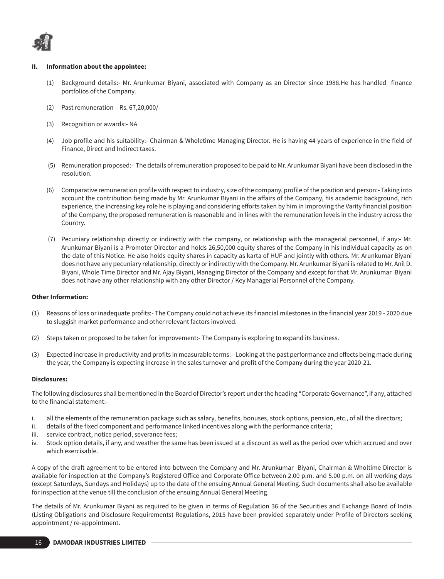

#### **II. Information about the appointee:**

- (1) Background details:- Mr. Arunkumar Biyani, associated with Company as an Director since 1988.He has handled finance portfolios of the Company.
- (2) Past remuneration Rs. 67,20,000/-
- (3) Recognition or awards:- NA
- (4) Job profile and his suitability:- Chairman & Wholetime Managing Director. He is having 44 years of experience in the field of Finance, Direct and Indirect taxes.
- (5) Remuneration proposed:- The details of remuneration proposed to be paid to Mr. Arunkumar Biyani have been disclosed in the resolution.
- (6) Comparative remuneration profile with respect to industry, size of the company, profile of the position and person:- Taking into account the contribution being made by Mr. Arunkumar Biyani in the affairs of the Company, his academic background, rich experience, the increasing key role he is playing and considering efforts taken by him in improving the Varity financial position of the Company, the proposed remuneration is reasonable and in lines with the remuneration levels in the industry across the Country.
- (7) Pecuniary relationship directly or indirectly with the company, or relationship with the managerial personnel, if any:- Mr. Arunkumar Biyani is a Promoter Director and holds 26,50,000 equity shares of the Company in his individual capacity as on the date of this Notice. He also holds equity shares in capacity as karta of HUF and jointly with others. Mr. Arunkumar Biyani does not have any pecuniary relationship, directly or indirectly with the Company. Mr. Arunkumar Biyani is related to Mr. Anil D. Biyani, Whole Time Director and Mr. Ajay Biyani, Managing Director of the Company and except for that Mr. Arunkumar Biyani does not have any other relationship with any other Director / Key Managerial Personnel of the Company.

## **Other Information:**

- (1) Reasons of loss or inadequate profits:- The Company could not achieve its financial milestones in the financial year 2019 2020 due to sluggish market performance and other relevant factors involved.
- (2) Steps taken or proposed to be taken for improvement:- The Company is exploring to expand its business.
- (3) Expected increase in productivity and profits in measurable terms:- Looking at the past performance and effects being made during the year, the Company is expecting increase in the sales turnover and profit of the Company during the year 2020-21.

#### **Disclosures:**

The following disclosures shall be mentioned in the Board of Director's report under the heading "Corporate Governance", if any, attached to the financial statement:-

- i. all the elements of the remuneration package such as salary, benefits, bonuses, stock options, pension, etc., of all the directors;
- ii. details of the fixed component and performance linked incentives along with the performance criteria;
- iii. service contract, notice period, severance fees;
- iv. Stock option details, if any, and weather the same has been issued at a discount as well as the period over which accrued and over which exercisable.

A copy of the draft agreement to be entered into between the Company and Mr. Arunkumar Biyani, Chairman & Wholtime Director is available for inspection at the Company's Registered Office and Corporate Office between 2.00 p.m. and 5.00 p.m. on all working days (except Saturdays, Sundays and Holidays) up to the date of the ensuing Annual General Meeting. Such documents shall also be available for inspection at the venue till the conclusion of the ensuing Annual General Meeting.

The details of Mr. Arunkumar Biyani as required to be given in terms of Regulation 36 of the Securities and Exchange Board of India (Listing Obligations and Disclosure Requirements) Regulations, 2015 have been provided separately under Profile of Directors seeking appointment / re-appointment.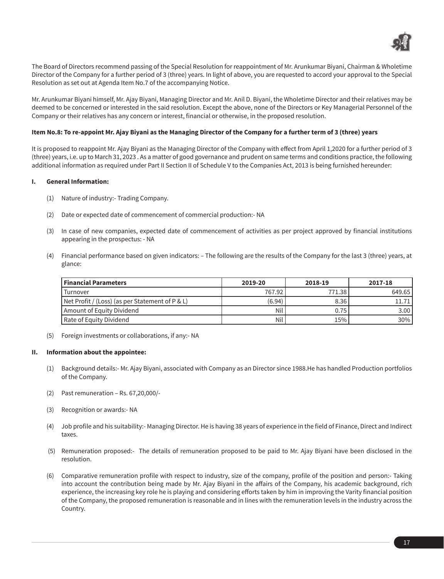

The Board of Directors recommend passing of the Special Resolution for reappointment of Mr. Arunkumar Biyani, Chairman & Wholetime Director of the Company for a further period of 3 (three) years. In light of above, you are requested to accord your approval to the Special Resolution as set out at Agenda Item No.7 of the accompanying Notice.

Mr. Arunkumar Biyani himself, Mr. Ajay Biyani, Managing Director and Mr. Anil D. Biyani, the Wholetime Director and their relatives may be deemed to be concerned or interested in the said resolution. Except the above, none of the Directors or Key Managerial Personnel of the Company or their relatives has any concern or interest, financial or otherwise, in the proposed resolution.

## **Item No.8: To re-appoint Mr. Ajay Biyani as the Managing Director of the Company for a further term of 3 (three) years**

It is proposed to reappoint Mr. Ajay Biyani as the Managing Director of the Company with effect from April 1,2020 for a further period of 3 (three) years, i.e. up to March 31, 2023 . As a matter of good governance and prudent on same terms and conditions practice, the following additional information as required under Part II Section II of Schedule V to the Companies Act, 2013 is being furnished hereunder:

## **I. General Information:**

- (1) Nature of industry:- Trading Company.
- (2) Date or expected date of commencement of commercial production:- NA
- (3) In case of new companies, expected date of commencement of activities as per project approved by financial institutions appearing in the prospectus: - NA
- (4) Financial performance based on given indicators: The following are the results of the Company for the last 3 (three) years, at glance:

| <b>Financial Parameters</b>                     | 2019-20 | 2018-19 | 2017-18           |
|-------------------------------------------------|---------|---------|-------------------|
| Turnover                                        | 767.92  | 771.38  | 649.65            |
| Net Profit / (Loss) (as per Statement of P & L) | (6.94)  | 8.36    | 11.71 I           |
| Amount of Equity Dividend                       | Nil     | 0.75    | 3.00 <sub>l</sub> |
| Rate of Equity Dividend_                        | Nil     | 15%     | 30%               |

(5) Foreign investments or collaborations, if any:- NA

## **II. Information about the appointee:**

- (1) Background details:- Mr. Ajay Biyani, associated with Company as an Director since 1988.He has handled Production portfolios of the Company.
- (2) Past remuneration Rs. 67,20,000/-
- (3) Recognition or awards:- NA
- (4) Job profile and his suitability:- Managing Director. He is having 38 years of experience in the field of Finance, Direct and Indirect taxes.
- (5) Remuneration proposed:- The details of remuneration proposed to be paid to Mr. Ajay Biyani have been disclosed in the resolution.
- (6) Comparative remuneration profile with respect to industry, size of the company, profile of the position and person:- Taking into account the contribution being made by Mr. Ajay Biyani in the affairs of the Company, his academic background, rich experience, the increasing key role he is playing and considering efforts taken by him in improving the Varity financial position of the Company, the proposed remuneration is reasonable and in lines with the remuneration levels in the industry across the Country.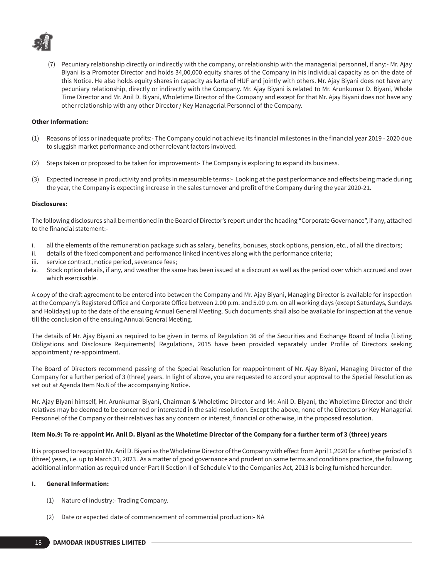

 (7) Pecuniary relationship directly or indirectly with the company, or relationship with the managerial personnel, if any:- Mr. Ajay Biyani is a Promoter Director and holds 34,00,000 equity shares of the Company in his individual capacity as on the date of this Notice. He also holds equity shares in capacity as karta of HUF and jointly with others. Mr. Ajay Biyani does not have any pecuniary relationship, directly or indirectly with the Company. Mr. Ajay Biyani is related to Mr. Arunkumar D. Biyani, Whole Time Director and Mr. Anil D. Biyani, Wholetime Director of the Company and except for that Mr. Ajay Biyani does not have any other relationship with any other Director / Key Managerial Personnel of the Company.

## **Other Information:**

- (1) Reasons of loss or inadequate profits:- The Company could not achieve its financial milestones in the financial year 2019 2020 due to sluggish market performance and other relevant factors involved.
- (2) Steps taken or proposed to be taken for improvement:- The Company is exploring to expand its business.
- (3) Expected increase in productivity and profits in measurable terms:- Looking at the past performance and effects being made during the year, the Company is expecting increase in the sales turnover and profit of the Company during the year 2020-21.

#### **Disclosures:**

The following disclosures shall be mentioned in the Board of Director's report under the heading "Corporate Governance", if any, attached to the financial statement:-

- i. all the elements of the remuneration package such as salary, benefits, bonuses, stock options, pension, etc., of all the directors;
- ii. details of the fixed component and performance linked incentives along with the performance criteria;
- iii. service contract, notice period, severance fees;
- iv. Stock option details, if any, and weather the same has been issued at a discount as well as the period over which accrued and over which exercisable.

A copy of the draft agreement to be entered into between the Company and Mr. Ajay Biyani, Managing Director is available for inspection at the Company's Registered Office and Corporate Office between 2.00 p.m. and 5.00 p.m. on all working days (except Saturdays, Sundays and Holidays) up to the date of the ensuing Annual General Meeting. Such documents shall also be available for inspection at the venue till the conclusion of the ensuing Annual General Meeting.

The details of Mr. Ajay Biyani as required to be given in terms of Regulation 36 of the Securities and Exchange Board of India (Listing Obligations and Disclosure Requirements) Regulations, 2015 have been provided separately under Profile of Directors seeking appointment / re-appointment.

The Board of Directors recommend passing of the Special Resolution for reappointment of Mr. Ajay Biyani, Managing Director of the Company for a further period of 3 (three) years. In light of above, you are requested to accord your approval to the Special Resolution as set out at Agenda Item No.8 of the accompanying Notice.

Mr. Ajay Biyani himself, Mr. Arunkumar Biyani, Chairman & Wholetime Director and Mr. Anil D. Biyani, the Wholetime Director and their relatives may be deemed to be concerned or interested in the said resolution. Except the above, none of the Directors or Key Managerial Personnel of the Company or their relatives has any concern or interest, financial or otherwise, in the proposed resolution.

#### **Item No.9: To re-appoint Mr. Anil D. Biyani as the Wholetime Director of the Company for a further term of 3 (three) years**

It is proposed to reappoint Mr. Anil D. Biyani as the Wholetime Director of the Company with effect from April 1,2020 for a further period of 3 (three) years, i.e. up to March 31, 2023 . As a matter of good governance and prudent on same terms and conditions practice, the following additional information as required under Part II Section II of Schedule V to the Companies Act, 2013 is being furnished hereunder:

#### **I. General Information:**

- (1) Nature of industry:- Trading Company.
- (2) Date or expected date of commencement of commercial production:- NA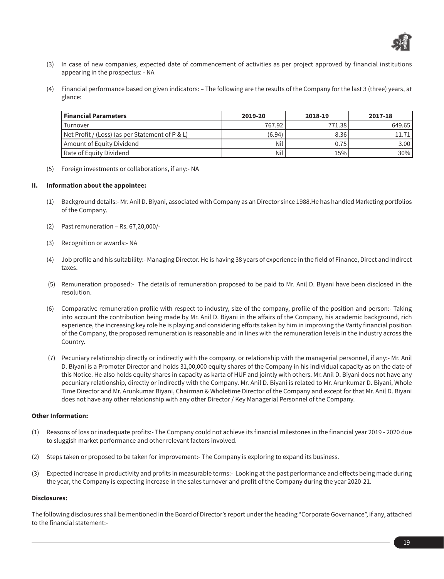

- (3) In case of new companies, expected date of commencement of activities as per project approved by financial institutions appearing in the prospectus: - NA
- (4) Financial performance based on given indicators: The following are the results of the Company for the last 3 (three) years, at glance:

| Financial Parameters                              | 2019-20 | 2018-19 | 2017-18 |
|---------------------------------------------------|---------|---------|---------|
| Turnover                                          | 767.92  | 771.38  | 649.65  |
| $Net Profit / (Loss)$ (as per Statement of P & L) | (6.94)  | 8.36    |         |
| Amount of Equity Dividend                         | Nil     | 0.75    | 3.00    |
| Rate of Equity Dividend                           | Nil     | 15%     | $30\%$  |

(5) Foreign investments or collaborations, if any:- NA

#### **II. Information about the appointee:**

- (1) Background details:- Mr. Anil D. Biyani, associated with Company as an Director since 1988.He has handled Marketing portfolios of the Company.
- (2) Past remuneration Rs. 67,20,000/-
- (3) Recognition or awards:- NA
- (4) Job profile and his suitability:- Managing Director. He is having 38 years of experience in the field of Finance, Direct and Indirect taxes.
- (5) Remuneration proposed:- The details of remuneration proposed to be paid to Mr. Anil D. Biyani have been disclosed in the resolution.
- (6) Comparative remuneration profile with respect to industry, size of the company, profile of the position and person:- Taking into account the contribution being made by Mr. Anil D. Biyani in the affairs of the Company, his academic background, rich experience, the increasing key role he is playing and considering efforts taken by him in improving the Varity financial position of the Company, the proposed remuneration is reasonable and in lines with the remuneration levels in the industry across the Country.
- (7) Pecuniary relationship directly or indirectly with the company, or relationship with the managerial personnel, if any:- Mr. Anil D. Biyani is a Promoter Director and holds 31,00,000 equity shares of the Company in his individual capacity as on the date of this Notice. He also holds equity shares in capacity as karta of HUF and jointly with others. Mr. Anil D. Biyani does not have any pecuniary relationship, directly or indirectly with the Company. Mr. Anil D. Biyani is related to Mr. Arunkumar D. Biyani, Whole Time Director and Mr. Arunkumar Biyani, Chairman & Wholetime Director of the Company and except for that Mr. Anil D. Biyani does not have any other relationship with any other Director / Key Managerial Personnel of the Company.

#### **Other Information:**

- (1) Reasons of loss or inadequate profits:- The Company could not achieve its financial milestones in the financial year 2019 2020 due to sluggish market performance and other relevant factors involved.
- (2) Steps taken or proposed to be taken for improvement:- The Company is exploring to expand its business.
- (3) Expected increase in productivity and profits in measurable terms:- Looking at the past performance and effects being made during the year, the Company is expecting increase in the sales turnover and profit of the Company during the year 2020-21.

#### **Disclosures:**

The following disclosures shall be mentioned in the Board of Director's report under the heading "Corporate Governance", if any, attached to the financial statement:-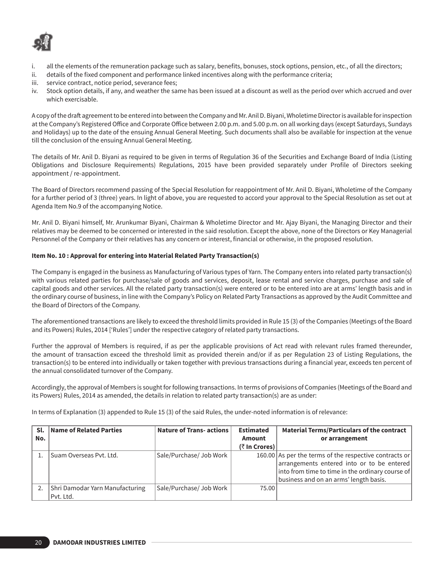

- i. all the elements of the remuneration package such as salary, benefits, bonuses, stock options, pension, etc., of all the directors;
- ii. details of the fixed component and performance linked incentives along with the performance criteria;
- iii. service contract, notice period, severance fees;
- iv. Stock option details, if any, and weather the same has been issued at a discount as well as the period over which accrued and over which exercisable.

A copy of the draft agreement to be entered into between the Company and Mr. Anil D. Biyani, Wholetime Director is available for inspection at the Company's Registered Office and Corporate Office between 2.00 p.m. and 5.00 p.m. on all working days (except Saturdays, Sundays and Holidays) up to the date of the ensuing Annual General Meeting. Such documents shall also be available for inspection at the venue till the conclusion of the ensuing Annual General Meeting.

The details of Mr. Anil D. Biyani as required to be given in terms of Regulation 36 of the Securities and Exchange Board of India (Listing Obligations and Disclosure Requirements) Regulations, 2015 have been provided separately under Profile of Directors seeking appointment / re-appointment.

The Board of Directors recommend passing of the Special Resolution for reappointment of Mr. Anil D. Biyani, Wholetime of the Company for a further period of 3 (three) years. In light of above, you are requested to accord your approval to the Special Resolution as set out at Agenda Item No.9 of the accompanying Notice.

Mr. Anil D. Biyani himself, Mr. Arunkumar Biyani, Chairman & Wholetime Director and Mr. Ajay Biyani, the Managing Director and their relatives may be deemed to be concerned or interested in the said resolution. Except the above, none of the Directors or Key Managerial Personnel of the Company or their relatives has any concern or interest, financial or otherwise, in the proposed resolution.

## **Item No. 10 : Approval for entering into Material Related Party Transaction(s)**

The Company is engaged in the business as Manufacturing of Various types of Yarn. The Company enters into related party transaction(s) with various related parties for purchase/sale of goods and services, deposit, lease rental and service charges, purchase and sale of capital goods and other services. All the related party transaction(s) were entered or to be entered into are at arms' length basis and in the ordinary course of business, in line with the Company's Policy on Related Party Transactions as approved by the Audit Committee and the Board of Directors of the Company.

The aforementioned transactions are likely to exceed the threshold limits provided in Rule 15 (3) of the Companies (Meetings of the Board and its Powers) Rules, 2014 ['Rules'] under the respective category of related party transactions.

Further the approval of Members is required, if as per the applicable provisions of Act read with relevant rules framed thereunder, the amount of transaction exceed the threshold limit as provided therein and/or if as per Regulation 23 of Listing Regulations, the transaction(s) to be entered into individually or taken together with previous transactions during a financial year, exceeds ten percent of the annual consolidated turnover of the Company.

Accordingly, the approval of Members is sought for following transactions. In terms of provisions of Companies (Meetings of the Board and its Powers) Rules, 2014 as amended, the details in relation to related party transaction(s) are as under:

In terms of Explanation (3) appended to Rule 15 (3) of the said Rules, the under-noted information is of relevance:

| Sl. | Name of Related Parties         | <b>Nature of Trans- actions</b> | <b>Estimated</b> | <b>Material Terms/Particulars of the contract</b>                                                                                                                                                  |
|-----|---------------------------------|---------------------------------|------------------|----------------------------------------------------------------------------------------------------------------------------------------------------------------------------------------------------|
| No. |                                 |                                 | Amount           | or arrangement                                                                                                                                                                                     |
|     |                                 |                                 | (₹ In Crores)    |                                                                                                                                                                                                    |
|     | l Suam Overseas Pvt. Ltd.       | Sale/Purchase/ Job Work         |                  | 160.00 As per the terms of the respective contracts or<br>arrangements entered into or to be entered<br>into from time to time in the ordinary course of<br>business and on an arms' length basis. |
|     | Shri Damodar Yarn Manufacturing | Sale/Purchase/ Job Work         | 75.00            |                                                                                                                                                                                                    |
|     | Pvt. Ltd.                       |                                 |                  |                                                                                                                                                                                                    |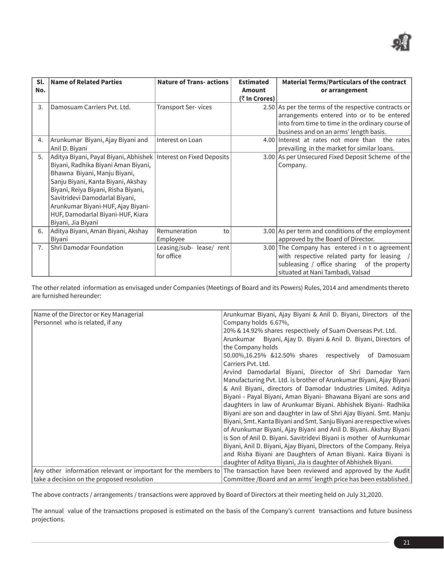

| Sl.<br>No. | <b>Name of Related Parties</b>                                                                                                                                                                                                                                                                                                                            | <b>Nature of Trans- actions</b>        | <b>Estimated</b><br><b>Amount</b><br>(₹ In Crores) | <b>Material Terms/Particulars of the contract</b><br>or arrangement                                                                                                                              |
|------------|-----------------------------------------------------------------------------------------------------------------------------------------------------------------------------------------------------------------------------------------------------------------------------------------------------------------------------------------------------------|----------------------------------------|----------------------------------------------------|--------------------------------------------------------------------------------------------------------------------------------------------------------------------------------------------------|
| 3.         | Damosuam Carriers Pyt. Ltd.                                                                                                                                                                                                                                                                                                                               | <b>Transport Ser-vices</b>             |                                                    | 2.50 As per the terms of the respective contracts or<br>arrangements entered into or to be entered<br>into from time to time in the ordinary course of<br>business and on an arms' length basis. |
| 4.         | Arunkumar Biyani, Ajay Biyani and<br>Anil D. Biyani                                                                                                                                                                                                                                                                                                       | Interest on Loan                       |                                                    | 4.00 Interest at rates not more than the rates<br>prevailing in the market for similar loans.                                                                                                    |
| 5.         | Aditya Biyani, Payal Biyani, Abhishek   Interest on Fixed Deposits<br>Biyani, Radhika Biyani Aman Biyani,<br>Bhawna Biyani, Manju Biyani,<br>Sanju Biyani, Kanta Biyani, Akshay<br>Biyani, Reiya Biyani, Risha Biyani,<br>Savitridevi Damodarlal Biyani,<br>Arunkumar Biyani-HUF, Ajay Biyani-<br>HUF, Damodarlal Biyani-HUF, Kiara<br>Biyani, Jia Biyani |                                        |                                                    | 3.00 As per Unsecured Fixed Deposit Scheme of the<br>Company.                                                                                                                                    |
| 6.         | Aditya Biyani, Aman Biyani, Akshay<br>Biyani                                                                                                                                                                                                                                                                                                              | Remuneration<br>to<br>Employee         |                                                    | 3.00 As per term and conditions of the employment<br>approved by the Board of Director.                                                                                                          |
| 7.         | Shri Damodar Foundation                                                                                                                                                                                                                                                                                                                                   | Leasing/sub- lease/ rent<br>for office |                                                    | 3.00 The Company has entered in to agreement<br>with respective related party for leasing /<br>subleasing / office sharing of the property<br>situated at Nani Tambadi, Valsad                   |

The other related information as envisaged under Companies (Meetings of Board and its Powers) Rules, 2014 and amendments thereto are furnished hereunder:

| Name of the Director or Key Managerial                         | Arunkumar Biyani, Ajay Biyani & Anil D. Biyani, Directors of the     |  |  |  |
|----------------------------------------------------------------|----------------------------------------------------------------------|--|--|--|
| Personnel who is related, if any                               | Company holds 6.67%,                                                 |  |  |  |
|                                                                | 20% & 14.92% shares respectively of Suam Overseas Pvt. Ltd.          |  |  |  |
|                                                                | Biyani, Ajay D. Biyani & Anil D. Biyani, Directors of<br>Arunkumar   |  |  |  |
|                                                                | the Company holds                                                    |  |  |  |
|                                                                | 50.00%,16.25% &12.50% shares respectively<br>of Damosuam             |  |  |  |
|                                                                | Carriers Pvt. Ltd.                                                   |  |  |  |
|                                                                | Arvind Damodarlal Biyani, Director of Shri Damodar Yarn              |  |  |  |
|                                                                | Manufacturing Pvt. Ltd. is brother of Arunkumar Biyani, Ajay Biyani  |  |  |  |
|                                                                | & Anil Biyani, directors of Damodar Industries Limited. Aditya       |  |  |  |
|                                                                | Biyani - Payal Biyani, Aman Biyani- Bhawana Biyani are sons and      |  |  |  |
|                                                                | daughters in law of Arunkumar Biyani. Abhishek Biyani- Radhika       |  |  |  |
|                                                                | Biyani are son and daughter in law of Shri Ajay Biyani. Smt. Manju   |  |  |  |
|                                                                | Biyani, Smt. Kanta Biyani and Smt. Sanju Biyani are respective wives |  |  |  |
|                                                                | of Arunkumar Biyani, Ajay Biyani and Anil D. Biyani. Akshay Biyani   |  |  |  |
|                                                                | is Son of Anil D. Biyani. Savitridevi Biyani is mother of Aurnkumar  |  |  |  |
|                                                                | Biyani, Anil D. Biyani, Ajay Biyani, Directors of the Company. Reiya |  |  |  |
|                                                                | and Risha Biyani are Daughters of Aman Biyani. Kaira Biyani is       |  |  |  |
|                                                                | daughter of Aditya Biyani, Jia is daughter of Abhishek Biyani.       |  |  |  |
| Any other information relevant or important for the members to | The transaction have been reviewed and approved by the Audit         |  |  |  |
| take a decision on the proposed resolution                     | Committee /Board and an arms' length price has been established.     |  |  |  |

The above contracts / arrangements / transactions were approved by Board of Directors at their meeting held on July 31,2020.

The annual value of the transactions proposed is estimated on the basis of the Company's current transactions and future business projections.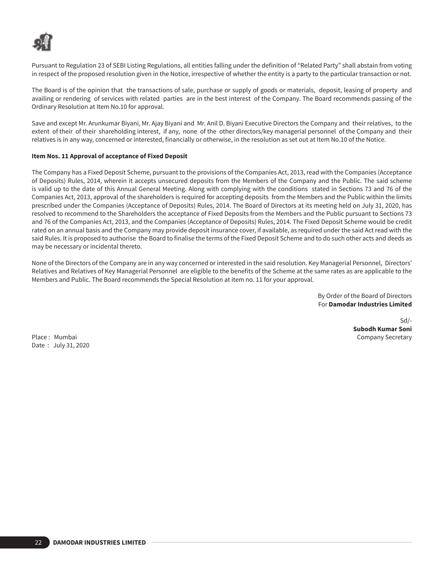

Pursuant to Regulation 23 of SEBI Listing Regulations, all entities falling under the definition of "Related Party" shall abstain from voting in respect of the proposed resolution given in the Notice, irrespective of whether the entity is a party to the particular transaction or not.

The Board is of the opinion that the transactions of sale, purchase or supply of goods or materials, deposit, leasing of property and availing or rendering of services with related parties are in the best interest of the Company. The Board recommends passing of the Ordinary Resolution at Item No.10 for approval.

Save and except Mr. Arunkumar Biyani, Mr. Ajay Biyani and Mr. Anil D. Biyani Executive Directors the Company and their relatives, to the extent of their of their shareholding interest, if any, none of the other directors/key managerial personnel of the Company and their relatives is in any way, concerned or interested, financially or otherwise, in the resolution as set out at Item No.10 of the Notice.

## **Item Nos. 11 Approval of acceptance of Fixed Deposit**

The Company has a Fixed Deposit Scheme, pursuant to the provisions of the Companies Act, 2013, read with the Companies (Acceptance of Deposits) Rules, 2014, wherein it accepts unsecured deposits from the Members of the Company and the Public. The said scheme is valid up to the date of this Annual General Meeting. Along with complying with the conditions stated in Sections 73 and 76 of the Companies Act, 2013, approval of the shareholders is required for accepting deposits from the Members and the Public within the limits prescribed under the Companies (Acceptance of Deposits) Rules, 2014. The Board of Directors at its meeting held on July 31, 2020, has resolved to recommend to the Shareholders the acceptance of Fixed Deposits from the Members and the Public pursuant to Sections 73 and 76 of the Companies Act, 2013, and the Companies (Acceptance of Deposits) Rules, 2014. The Fixed Deposit Scheme would be credit rated on an annual basis and the Company may provide deposit insurance cover, if available, as required under the said Act read with the said Rules. It is proposed to authorise the Board to finalise the terms of the Fixed Deposit Scheme and to do such other acts and deeds as may be necessary or incidental thereto.

None of the Directors of the Company are in any way concerned or interested in the said resolution. Key Managerial Personnel, Directors' Relatives and Relatives of Key Managerial Personnel are eligible to the benefits of the Scheme at the same rates as are applicable to the Members and Public. The Board recommends the Special Resolution at item no. 11 for your approval.

> By Order of the Board of Directors For **Damodar Industries Limited**

Place : Mumbai Company Secretary Company Secretary Company Secretary Company Secretary Date : July 31, 2020

Sd/- **Subodh Kumar Soni**